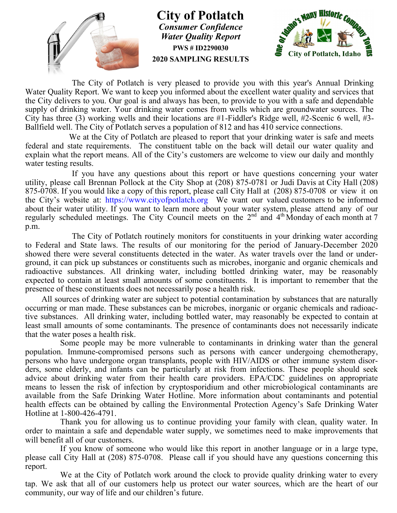

**City of Potlatch** *Consumer Confidence Water Quality Report* **PWS # ID2290030 2020 SAMPLING RESULTS**



The City of Potlatch is very pleased to provide you with this year's Annual Drinking Water Quality Report. We want to keep you informed about the excellent water quality and services that the City delivers to you. Our goal is and always has been, to provide to you with a safe and dependable supply of drinking water. Your drinking water comes from wells which are groundwater sources. The City has three (3) working wells and their locations are #1-Fiddler's Ridge well, #2-Scenic 6 well, #3- Ballfield well. The City of Potlatch serves a population of 812 and has 410 service connections.

We at the City of Potlatch are pleased to report that your drinking water is safe and meets federal and state requirements. The constituent table on the back will detail our water quality and explain what the report means. All of the City's customers are welcome to view our daily and monthly water testing results.

If you have any questions about this report or have questions concerning your water utility, please call Brennan Pollock at the City Shop at (208) 875-0781 or Judi Davis at City Hall (208) 875-0708. If you would like a copy of this report, please call City Hall at (208) 875-0708 or view it on the City's website at: https://www.cityofpotlatch.org We want our valued customers to be informed about their water utility. If you want to learn more about your water system, please attend any of our regularly scheduled meetings. The City Council meets on the  $2^{nd}$  and  $4^{th}$  Monday of each month at 7 p.m.

The City of Potlatch routinely monitors for constituents in your drinking water according to Federal and State laws. The results of our monitoring for the period of January-December 2020 showed there were several constituents detected in the water. As water travels over the land or underground, it can pick up substances or constituents such as microbes, inorganic and organic chemicals and radioactive substances. All drinking water, including bottled drinking water, may be reasonably expected to contain at least small amounts of some constituents. It is important to remember that the presence of these constituents does not necessarily pose a health risk.

 All sources of drinking water are subject to potential contamination by substances that are naturally occurring or man made. These substances can be microbes, inorganic or organic chemicals and radioactive substances. All drinking water, including bottled water, may reasonably be expected to contain at least small amounts of some contaminants. The presence of contaminants does not necessarily indicate that the water poses a health risk.

Some people may be more vulnerable to contaminants in drinking water than the general population. Immune-compromised persons such as persons with cancer undergoing chemotherapy, persons who have undergone organ transplants, people with HIV/AIDS or other immune system disorders, some elderly, and infants can be particularly at risk from infections. These people should seek advice about drinking water from their health care providers. EPA/CDC guidelines on appropriate means to lessen the risk of infection by cryptosporidium and other microbiological contaminants are available from the Safe Drinking Water Hotline. More information about contaminants and potential health effects can be obtained by calling the Environmental Protection Agency's Safe Drinking Water Hotline at 1-800-426-4791.

Thank you for allowing us to continue providing your family with clean, quality water. In order to maintain a safe and dependable water supply, we sometimes need to make improvements that will benefit all of our customers.

If you know of someone who would like this report in another language or in a large type, please call City Hall at (208) 875-0708. Please call if you should have any questions concerning this report.

We at the City of Potlatch work around the clock to provide quality drinking water to every tap. We ask that all of our customers help us protect our water sources, which are the heart of our community, our way of life and our children's future.